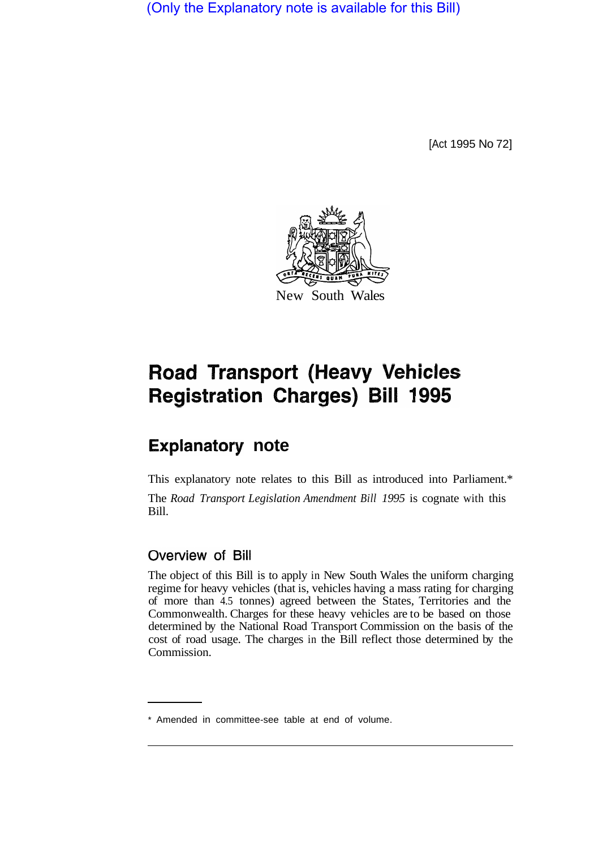(Only the Explanatory note is available for this Bill)

[Act 1995 No 72]



# **Road Transport (Heavy Vehicles Registration Charges) Bill 1995**

# **Explanatory note**

This explanatory note relates to this Bill as introduced into Parliament.\* The *Road Transport Legislation Amendment Bill 1995* is cognate with this Bill.

# Overview of Bill

The object of this Bill is to apply in New South Wales the uniform charging regime for heavy vehicles (that is, vehicles having a mass rating for charging of more than 4.5 tonnes) agreed between the States, Territories and the Commonwealth. Charges for these heavy vehicles are to be based on those determined by the National Road Transport Commission on the basis of the cost of road usage. The charges in the Bill reflect those determined by the Commission.

<sup>\*</sup> Amended in committee-see table at end of volume.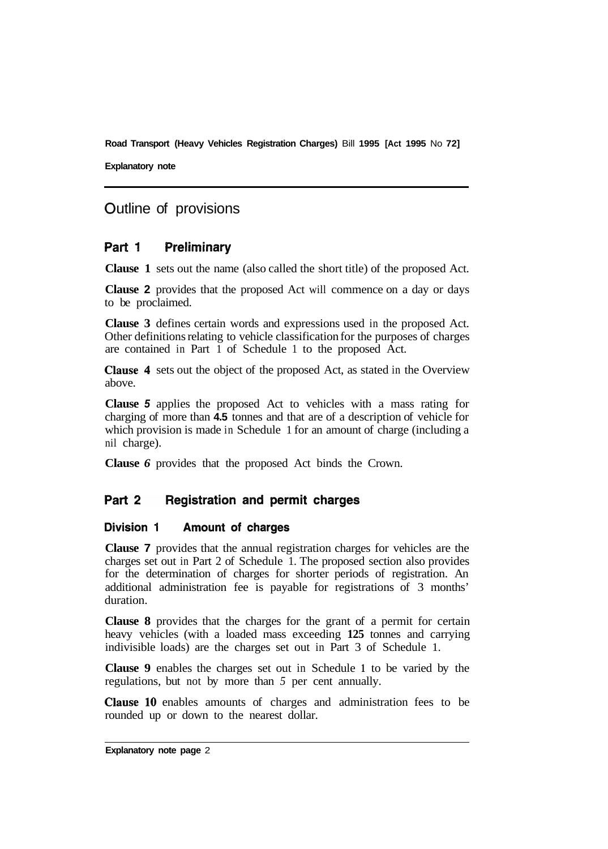**Explanatory note** 

## Outline of provisions

#### Part 1 **Preliminary**

**Clause 1** sets out the name (also called the short title) of the proposed Act.

**Clause 2** provides that the proposed Act will commence on a day or days to be proclaimed.

**Clause 3** defines certain words and expressions used in the proposed Act. Other definitions relating to vehicle classification for the purposes of charges are contained in Part 1 of Schedule 1 to the proposed Act.

**Clause 4** sets out the object of the proposed Act, as stated in the Overview above.

**Clause** *5* applies the proposed Act to vehicles with a mass rating for charging of more than **4.5** tonnes and that are of a description of vehicle for which provision is made in Schedule 1 for an amount of charge (including a nil charge).

**Clause** *6* provides that the proposed Act binds the Crown.

#### Part 2 **Registration and permit charges**

#### Division 1 **Amount of charges**

**Clause 7** provides that the annual registration charges for vehicles are the charges set out in Part 2 of Schedule 1. The proposed section also provides for the determination of charges for shorter periods of registration. An additional administration fee is payable for registrations of 3 months' duration.

**Clause 8** provides that the charges for the grant of a permit for certain heavy vehicles (with a loaded mass exceeding **125** tonnes and carrying indivisible loads) are the charges set out in Part 3 of Schedule 1.

**Clause 9** enables the charges set out in Schedule **1** to be varied by the regulations, but not by more than *5* per cent annually.

**Clause 10** enables amounts of charges and administration fees to be rounded up or down to the nearest dollar.

**Explanatory note page** 2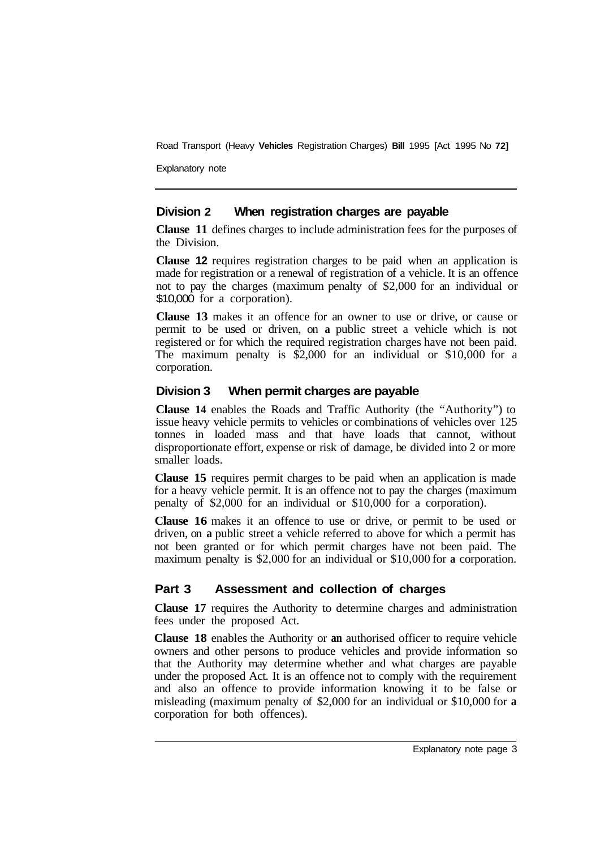Explanatory note

### **Division 2 When registration charges are payable**

**Clause 11** defines charges to include administration fees for the purposes of the Division.

**Clause 12** requires registration charges to be paid when an application is made for registration or a renewal of registration of a vehicle. It is an offence not to pay the charges (maximum penalty of \$2,000 for an individual or \$10,000 for a corporation).

**Clause 13** makes it an offence for an owner to use or drive, or cause or permit to be used or driven, on **a** public street a vehicle which is not registered or for which the required registration charges have not been paid. The maximum penalty is \$2,000 for an individual or \$10,000 for a corporation.

### **Division 3 When permit charges are payable**

**Clause 14** enables the Roads and Traffic Authority (the "Authority") to issue heavy vehicle permits to vehicles or combinations of vehicles over 125 tonnes in loaded mass and that have loads that cannot, without disproportionate effort, expense or risk of damage, be divided into 2 or more smaller loads.

**Clause 15** requires permit charges to be paid when an application is made for a heavy vehicle permit. It is an offence not to pay the charges (maximum penalty of \$2,000 for an individual or \$10,000 for a corporation).

**Clause 16** makes it an offence to use or drive, or permit to be used or driven, on **a** public street a vehicle referred to above for which a permit has not been granted or for which permit charges have not been paid. The maximum penalty is \$2,000 for an individual or \$10,000 for **a** corporation.

### **Part 3 Assessment and collection of charges**

**Clause 17** requires the Authority to determine charges and administration fees under the proposed Act.

**Clause 18** enables the Authority or **an** authorised officer to require vehicle owners and other persons to produce vehicles and provide information so that the Authority may determine whether and what charges are payable under the proposed Act. It is an offence not to comply with the requirement and also an offence to provide information knowing it to be false or misleading (maximum penalty of \$2,000 for an individual or \$10,000 for **a**  corporation for both offences).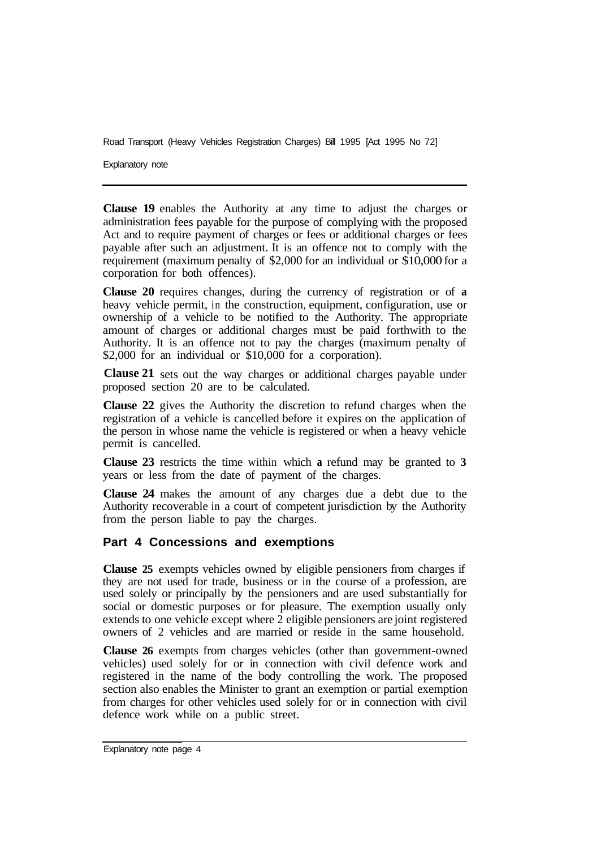Explanatory note

**Clause 19** enables the Authority at any time to adjust the charges or administration fees payable for the purpose of complying with the proposed Act and to require payment of charges or fees or additional charges or fees payable after such an adjustment. It is an offence not to comply with the requirement (maximum penalty of \$2,000 for an individual or \$10,000 for a corporation for both offences).

**Clause 20** requires changes, during the currency of registration or of **a**  heavy vehicle permit, in the construction, equipment, configuration, use or ownership of a vehicle to be notified to the Authority. The appropriate amount of charges or additional charges must be paid forthwith to the Authority. It is an offence not to pay the charges (maximum penalty of \$2,000 for an individual or \$10,000 for a corporation).

Clause 21 sets out the way charges or additional charges payable under proposed section 20 are to be calculated.

**Clause 22** gives the Authority the discretion to refund charges when the registration of a vehicle is cancelled before it expires on the application of the person in whose name the vehicle is registered or when a heavy vehicle permit is cancelled.

**Clause 23** restricts the time within which **a** refund may be granted to **3**  years or less from the date of payment of the charges.

**Clause 24** makes the amount of any charges due a debt due to the Authority recoverable in a court of competent jurisdiction by the Authority from the person liable to pay the charges.

### **Part 4 Concessions and exemptions**

**Clause 25** exempts vehicles owned by eligible pensioners from charges if they are not used for trade, business or in the course of a profession, are used solely or principally by the pensioners and are used substantially for social or domestic purposes or for pleasure. The exemption usually only extends to one vehicle except where 2 eligible pensioners are joint registered owners of 2 vehicles and are married or reside in the same household.

**Clause 26** exempts from charges vehicles (other than government-owned vehicles) used solely for or in connection with civil defence work and registered in the name of the body controlling the work. The proposed section also enables the Minister to grant an exemption or partial exemption from charges for other vehicles used solely for or in connection with civil defence work while on a public street.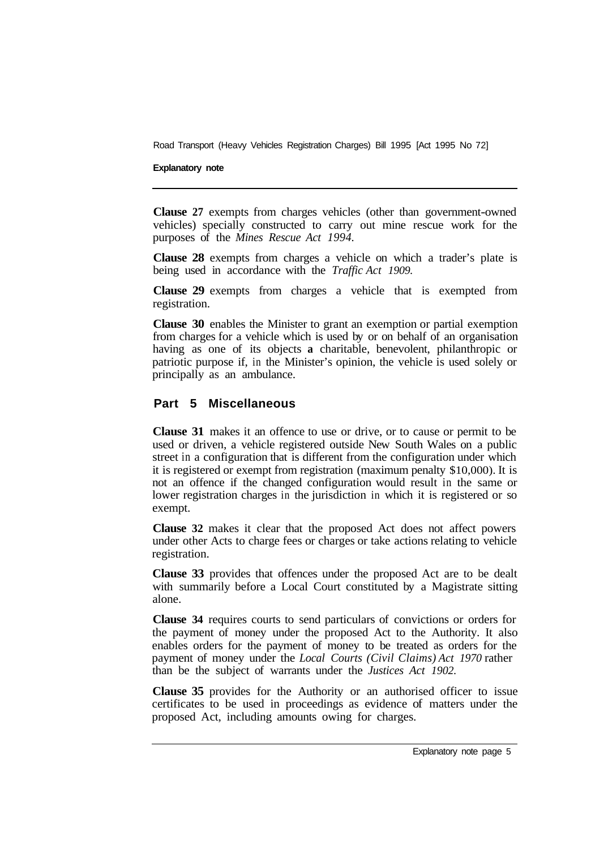#### **Explanatory note**

**Clause 27** exempts from charges vehicles (other than government-owned vehicles) specially constructed to carry out mine rescue work for the purposes of the *Mines Rescue Act 1994.* 

**Clause 28** exempts from charges a vehicle on which a trader's plate is being used in accordance with the *Traffic Act 1909.*

**Clause 29** exempts from charges a vehicle that is exempted from registration.

**Clause 30** enables the Minister to grant an exemption or partial exemption from charges for a vehicle which is used by or on behalf of an organisation having as one of its objects **a** charitable, benevolent, philanthropic or patriotic purpose if, in the Minister's opinion, the vehicle is used solely or principally as an ambulance.

#### **Part 5 Miscellaneous**

**Clause 31** makes it an offence to use or drive, or to cause or permit to be used or driven, a vehicle registered outside New South Wales on a public street in a configuration that is different from the configuration under which it is registered or exempt from registration (maximum penalty \$10,000). It is not an offence if the changed configuration would result in the same or lower registration charges in the jurisdiction in which it is registered or so exempt.

**Clause 32** makes it clear that the proposed Act does not affect powers under other Acts to charge fees or charges or take actions relating to vehicle registration.

**Clause 33** provides that offences under the proposed Act are to be dealt with summarily before a Local Court constituted by a Magistrate sitting alone.

**Clause 34** requires courts to send particulars of convictions or orders for the payment of money under the proposed Act to the Authority. It also enables orders for the payment of money to be treated as orders for the payment of money under the *Local Courts (Civil Claims) Act 1970* rather than be the subject of warrants under the *Justices Act 1902.* 

**Clause 35** provides for the Authority or an authorised officer to issue certificates to be used in proceedings as evidence of matters under the proposed Act, including amounts owing for charges.